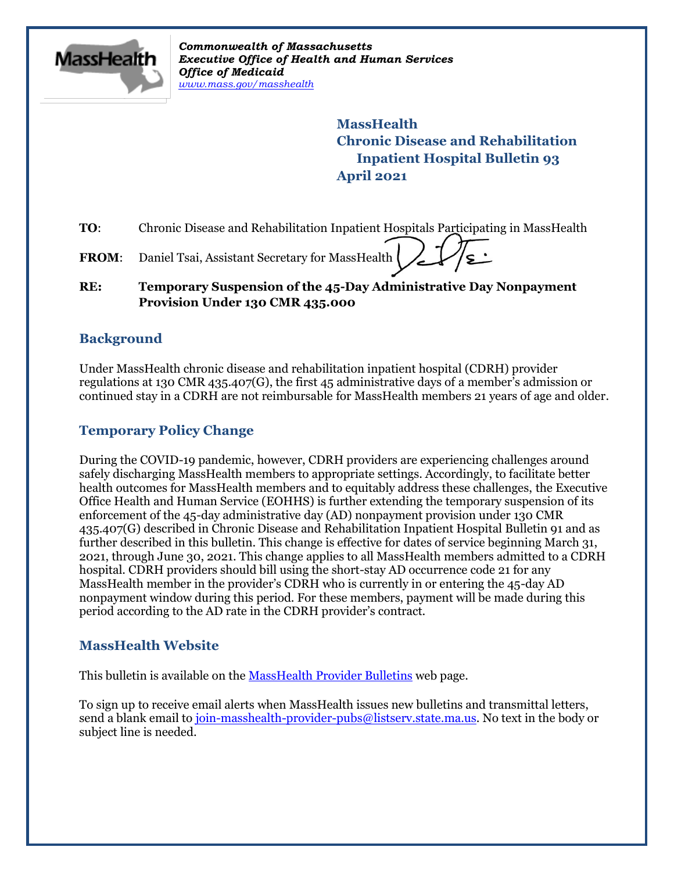

*Commonwealth of Massachusetts Executive Office of Health and Human Services Office of Medicaid [www.mass.gov/masshealth](http://www.mass.gov/masshealth)*

> **MassHealth Chronic Disease and Rehabilitation Inpatient Hospital Bulletin 93 April 2021**

**TO:** Chronic Disease and Rehabilitation Inpatient Hospitals Participating in MassHealth

FROM: Daniel Tsai, Assistant Secretary for MassHealth

#### **RE: Temporary Suspension of the 45-Day Administrative Day Nonpayment Provision Under 130 CMR 435.000**

### **Background**

Under MassHealth chronic disease and rehabilitation inpatient hospital (CDRH) provider regulations at 130 CMR 435.407(G), the first 45 administrative days of a member's admission or continued stay in a CDRH are not reimbursable for MassHealth members 21 years of age and older.

## **Temporary Policy Change**

During the COVID-19 pandemic, however, CDRH providers are experiencing challenges around safely discharging MassHealth members to appropriate settings. Accordingly, to facilitate better health outcomes for MassHealth members and to equitably address these challenges, the Executive Office Health and Human Service (EOHHS) is further extending the temporary suspension of its enforcement of the 45-day administrative day (AD) nonpayment provision under 130 CMR 435.407(G) described in Chronic Disease and Rehabilitation Inpatient Hospital Bulletin 91 and as further described in this bulletin. This change is effective for dates of service beginning March 31, 2021, through June 30, 2021. This change applies to all MassHealth members admitted to a CDRH hospital. CDRH providers should bill using the short-stay AD occurrence code 21 for any MassHealth member in the provider's CDRH who is currently in or entering the 45-day AD nonpayment window during this period. For these members, payment will be made during this period according to the AD rate in the CDRH provider's contract.

#### **MassHealth Website**

This bulletin is available on th[e MassHealth Provider Bulletins](http://www.mass.gov/masshealth-provider-bulletins) web page.

To sign up to receive email alerts when MassHealth issues new bulletins and transmittal letters, send a blank email to [join-masshealth-provider-pubs@listserv.state.ma.us.](mailto:join-masshealth-provider-pubs@listserv.state.ma.us) No text in the body or subject line is needed.